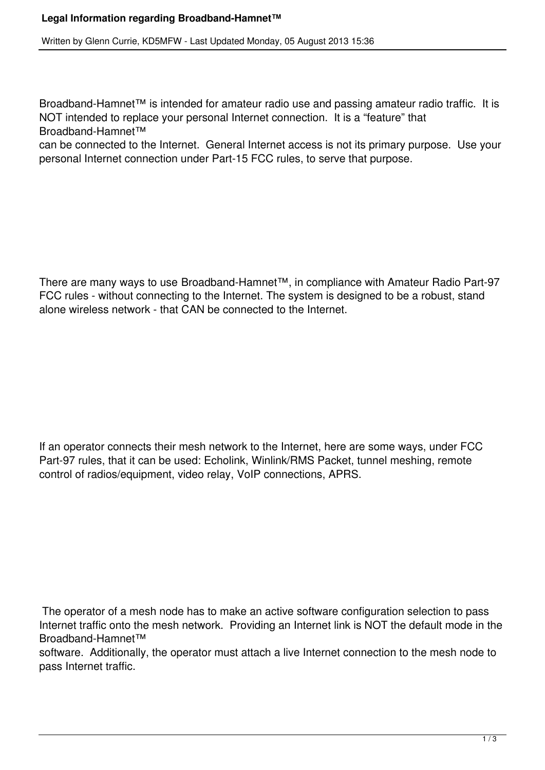Written by Glenn Currie, KD5MFW - Last Updated Monday, 05 August 2013 15:36

Broadband-Hamnet™ is intended for amateur radio use and passing amateur radio traffic. It is NOT intended to replace your personal Internet connection. It is a "feature" that Broadband-Hamnet™

can be connected to the Internet. General Internet access is not its primary purpose. Use your personal Internet connection under Part-15 FCC rules, to serve that purpose.

There are many ways to use Broadband-Hamnet™, in compliance with Amateur Radio Part-97 FCC rules - without connecting to the Internet. The system is designed to be a robust, stand alone wireless network - that CAN be connected to the Internet.

If an operator connects their mesh network to the Internet, here are some ways, under FCC Part-97 rules, that it can be used: Echolink, Winlink/RMS Packet, tunnel meshing, remote control of radios/equipment, video relay, VoIP connections, APRS.

 The operator of a mesh node has to make an active software configuration selection to pass Internet traffic onto the mesh network. Providing an Internet link is NOT the default mode in the Broadband-Hamnet™

software. Additionally, the operator must attach a live Internet connection to the mesh node to pass Internet traffic.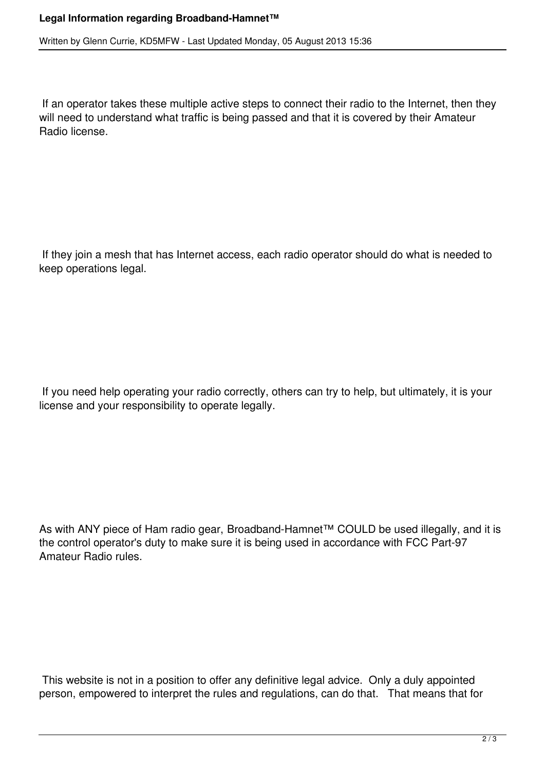## **Legal Information regarding Broadband-Hamnet™**

Written by Glenn Currie, KD5MFW - Last Updated Monday, 05 August 2013 15:36

 If an operator takes these multiple active steps to connect their radio to the Internet, then they will need to understand what traffic is being passed and that it is covered by their Amateur Radio license.

 If they join a mesh that has Internet access, each radio operator should do what is needed to keep operations legal.

 If you need help operating your radio correctly, others can try to help, but ultimately, it is your license and your responsibility to operate legally.

As with ANY piece of Ham radio gear, Broadband-Hamnet™ COULD be used illegally, and it is the control operator's duty to make sure it is being used in accordance with FCC Part-97 Amateur Radio rules.

 This website is not in a position to offer any definitive legal advice. Only a duly appointed person, empowered to interpret the rules and regulations, can do that. That means that for